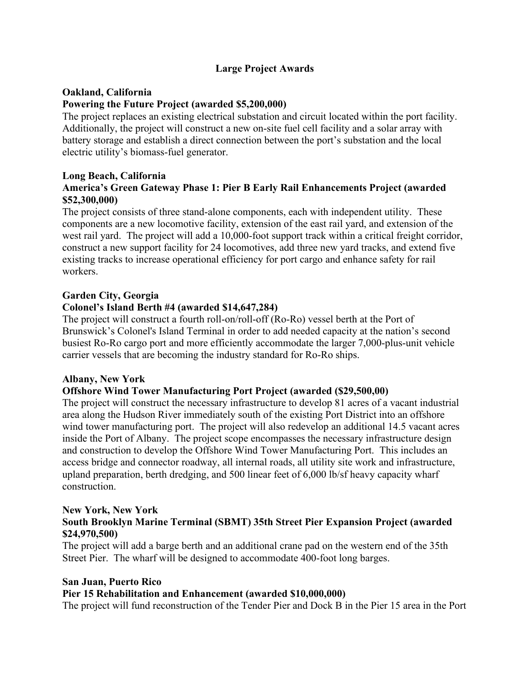# **Large Project Awards**

### **Oakland, California**

### **Powering the Future Project (awarded \$5,200,000)**

The project replaces an existing electrical substation and circuit located within the port facility. Additionally, the project will construct a new on-site fuel cell facility and a solar array with battery storage and establish a direct connection between the port's substation and the local electric utility's biomass-fuel generator.

### **Long Beach, California America's Green Gateway Phase 1: Pier B Early Rail Enhancements Project (awarded \$52,300,000)**

The project consists of three stand-alone components, each with independent utility. These components are a new locomotive facility, extension of the east rail yard, and extension of the west rail yard. The project will add a 10,000-foot support track within a critical freight corridor, construct a new support facility for 24 locomotives, add three new yard tracks, and extend five existing tracks to increase operational efficiency for port cargo and enhance safety for rail workers.

### **Garden City, Georgia**

### **Colonel's Island Berth #4 (awarded \$14,647,284)**

The project will construct a fourth roll-on/roll-off (Ro-Ro) vessel berth at the Port of Brunswick's Colonel's Island Terminal in order to add needed capacity at the nation's second busiest Ro-Ro cargo port and more efficiently accommodate the larger 7,000-plus-unit vehicle carrier vessels that are becoming the industry standard for Ro-Ro ships.

### **Albany, New York**

# **Offshore Wind Tower Manufacturing Port Project (awarded (\$29,500,00)**

The project will construct the necessary infrastructure to develop 81 acres of a vacant industrial area along the Hudson River immediately south of the existing Port District into an offshore wind tower manufacturing port. The project will also redevelop an additional 14.5 vacant acres inside the Port of Albany. The project scope encompasses the necessary infrastructure design and construction to develop the Offshore Wind Tower Manufacturing Port. This includes an access bridge and connector roadway, all internal roads, all utility site work and infrastructure, upland preparation, berth dredging, and 500 linear feet of 6,000 lb/sf heavy capacity wharf construction.

#### **New York, New York South Brooklyn Marine Terminal (SBMT) 35th Street Pier Expansion Project (awarded \$24,970,500)**

The project will add a barge berth and an additional crane pad on the western end of the 35th Street Pier. The wharf will be designed to accommodate 400-foot long barges.

# **San Juan, Puerto Rico**

### **Pier 15 Rehabilitation and Enhancement (awarded \$10,000,000)**

The project will fund reconstruction of the Tender Pier and Dock B in the Pier 15 area in the Port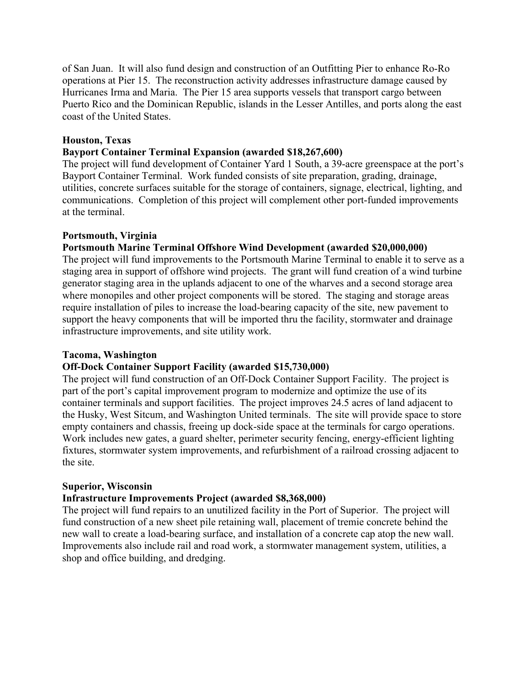of San Juan. It will also fund design and construction of an Outfitting Pier to enhance Ro-Ro operations at Pier 15. The reconstruction activity addresses infrastructure damage caused by Hurricanes Irma and Maria. The Pier 15 area supports vessels that transport cargo between Puerto Rico and the Dominican Republic, islands in the Lesser Antilles, and ports along the east coast of the United States.

#### **Houston, Texas**

#### **Bayport Container Terminal Expansion (awarded \$18,267,600)**

The project will fund development of Container Yard 1 South, a 39-acre greenspace at the port's Bayport Container Terminal. Work funded consists of site preparation, grading, drainage, utilities, concrete surfaces suitable for the storage of containers, signage, electrical, lighting, and communications. Completion of this project will complement other port-funded improvements at the terminal.

#### **Portsmouth, Virginia**

### **Portsmouth Marine Terminal Offshore Wind Development (awarded \$20,000,000)**

The project will fund improvements to the Portsmouth Marine Terminal to enable it to serve as a staging area in support of offshore wind projects. The grant will fund creation of a wind turbine generator staging area in the uplands adjacent to one of the wharves and a second storage area where monopiles and other project components will be stored. The staging and storage areas require installation of piles to increase the load-bearing capacity of the site, new pavement to support the heavy components that will be imported thru the facility, stormwater and drainage infrastructure improvements, and site utility work.

#### **Tacoma, Washington**

#### **Off-Dock Container Support Facility (awarded \$15,730,000)**

The project will fund construction of an Off-Dock Container Support Facility. The project is part of the port's capital improvement program to modernize and optimize the use of its container terminals and support facilities. The project improves 24.5 acres of land adjacent to the Husky, West Sitcum, and Washington United terminals. The site will provide space to store empty containers and chassis, freeing up dock-side space at the terminals for cargo operations. Work includes new gates, a guard shelter, perimeter security fencing, energy-efficient lighting fixtures, stormwater system improvements, and refurbishment of a railroad crossing adjacent to the site.

#### **Superior, Wisconsin**

#### **Infrastructure Improvements Project (awarded \$8,368,000)**

The project will fund repairs to an unutilized facility in the Port of Superior. The project will fund construction of a new sheet pile retaining wall, placement of tremie concrete behind the new wall to create a load-bearing surface, and installation of a concrete cap atop the new wall. Improvements also include rail and road work, a stormwater management system, utilities, a shop and office building, and dredging.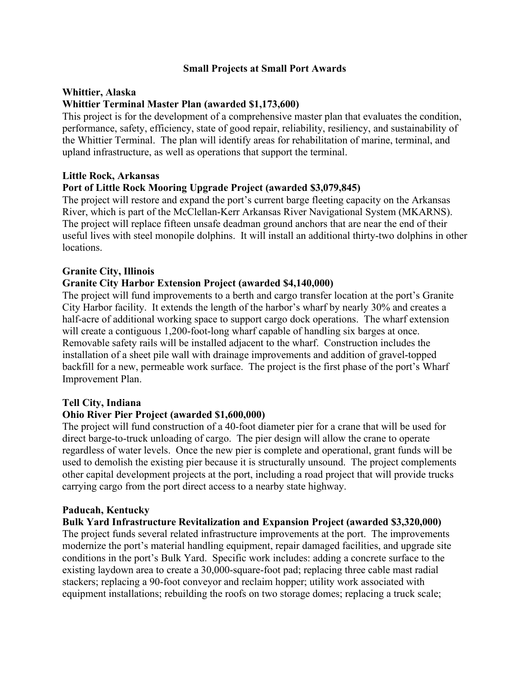### **Small Projects at Small Port Awards**

### **Whittier, Alaska**

### **Whittier Terminal Master Plan (awarded \$1,173,600)**

This project is for the development of a comprehensive master plan that evaluates the condition, performance, safety, efficiency, state of good repair, reliability, resiliency, and sustainability of the Whittier Terminal. The plan will identify areas for rehabilitation of marine, terminal, and upland infrastructure, as well as operations that support the terminal.

### **Little Rock, Arkansas**

### **Port of Little Rock Mooring Upgrade Project (awarded \$3,079,845)**

The project will restore and expand the port's current barge fleeting capacity on the Arkansas River, which is part of the McClellan-Kerr Arkansas River Navigational System (MKARNS). The project will replace fifteen unsafe deadman ground anchors that are near the end of their useful lives with steel monopile dolphins. It will install an additional thirty-two dolphins in other locations.

### **Granite City, Illinois**

### **Granite City Harbor Extension Project (awarded \$4,140,000)**

The project will fund improvements to a berth and cargo transfer location at the port's Granite City Harbor facility. It extends the length of the harbor's wharf by nearly 30% and creates a half-acre of additional working space to support cargo dock operations. The wharf extension will create a contiguous 1,200-foot-long wharf capable of handling six barges at once. Removable safety rails will be installed adjacent to the wharf. Construction includes the installation of a sheet pile wall with drainage improvements and addition of gravel-topped backfill for a new, permeable work surface. The project is the first phase of the port's Wharf Improvement Plan.

### **Tell City, Indiana**

# **Ohio River Pier Project (awarded \$1,600,000)**

The project will fund construction of a 40-foot diameter pier for a crane that will be used for direct barge-to-truck unloading of cargo. The pier design will allow the crane to operate regardless of water levels. Once the new pier is complete and operational, grant funds will be used to demolish the existing pier because it is structurally unsound. The project complements other capital development projects at the port, including a road project that will provide trucks carrying cargo from the port direct access to a nearby state highway.

### **Paducah, Kentucky**

### **Bulk Yard Infrastructure Revitalization and Expansion Project (awarded \$3,320,000)**

The project funds several related infrastructure improvements at the port. The improvements modernize the port's material handling equipment, repair damaged facilities, and upgrade site conditions in the port's Bulk Yard. Specific work includes: adding a concrete surface to the existing laydown area to create a 30,000-square-foot pad; replacing three cable mast radial stackers; replacing a 90-foot conveyor and reclaim hopper; utility work associated with equipment installations; rebuilding the roofs on two storage domes; replacing a truck scale;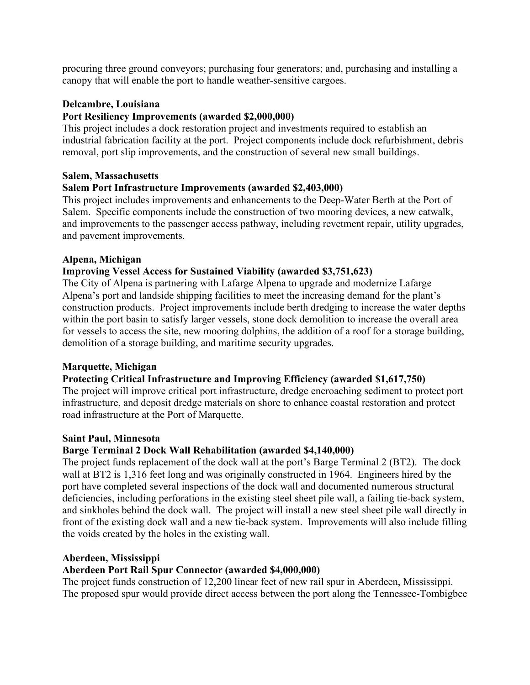procuring three ground conveyors; purchasing four generators; and, purchasing and installing a canopy that will enable the port to handle weather-sensitive cargoes.

### **Delcambre, Louisiana**

### **Port Resiliency Improvements (awarded \$2,000,000)**

This project includes a dock restoration project and investments required to establish an industrial fabrication facility at the port. Project components include dock refurbishment, debris removal, port slip improvements, and the construction of several new small buildings.

### **Salem, Massachusetts**

### **Salem Port Infrastructure Improvements (awarded \$2,403,000)**

This project includes improvements and enhancements to the Deep-Water Berth at the Port of Salem. Specific components include the construction of two mooring devices, a new catwalk, and improvements to the passenger access pathway, including revetment repair, utility upgrades, and pavement improvements.

### **Alpena, Michigan**

### **Improving Vessel Access for Sustained Viability (awarded \$3,751,623)**

The City of Alpena is partnering with Lafarge Alpena to upgrade and modernize Lafarge Alpena's port and landside shipping facilities to meet the increasing demand for the plant's construction products. Project improvements include berth dredging to increase the water depths within the port basin to satisfy larger vessels, stone dock demolition to increase the overall area for vessels to access the site, new mooring dolphins, the addition of a roof for a storage building, demolition of a storage building, and maritime security upgrades.

### **Marquette, Michigan**

### **Protecting Critical Infrastructure and Improving Efficiency (awarded \$1,617,750)**

The project will improve critical port infrastructure, dredge encroaching sediment to protect port infrastructure, and deposit dredge materials on shore to enhance coastal restoration and protect road infrastructure at the Port of Marquette.

### **Saint Paul, Minnesota**

### **Barge Terminal 2 Dock Wall Rehabilitation (awarded \$4,140,000)**

The project funds replacement of the dock wall at the port's Barge Terminal 2 (BT2). The dock wall at BT2 is 1,316 feet long and was originally constructed in 1964. Engineers hired by the port have completed several inspections of the dock wall and documented numerous structural deficiencies, including perforations in the existing steel sheet pile wall, a failing tie-back system, and sinkholes behind the dock wall. The project will install a new steel sheet pile wall directly in front of the existing dock wall and a new tie-back system. Improvements will also include filling the voids created by the holes in the existing wall.

### **Aberdeen, Mississippi**

# **Aberdeen Port Rail Spur Connector (awarded \$4,000,000)**

The project funds construction of 12,200 linear feet of new rail spur in Aberdeen, Mississippi. The proposed spur would provide direct access between the port along the Tennessee-Tombigbee